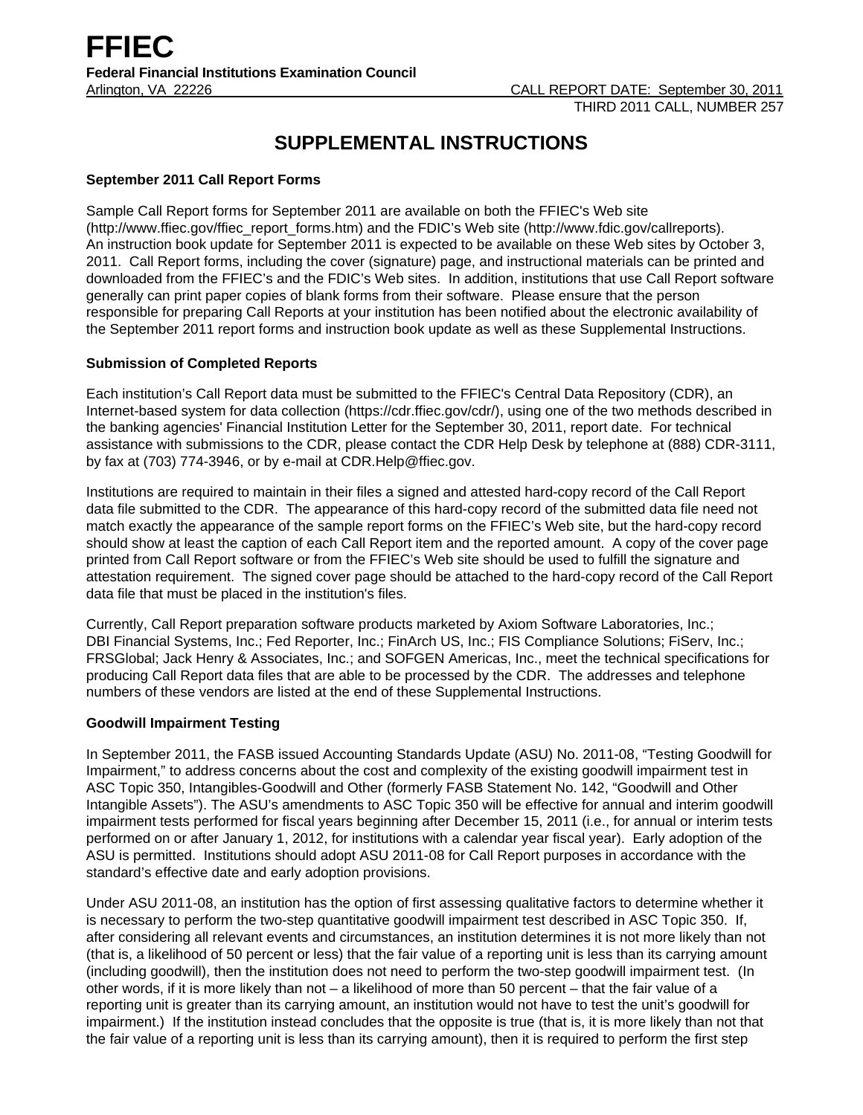# **SUPPLEMENTAL INSTRUCTIONS**

# **September 2011 Call Report Forms**

Sample Call Report forms for September 2011 are available on both the FFIEC's Web site (http://www.ffiec.gov/ffiec\_report\_forms.htm) and the FDIC's Web site (http://www.fdic.gov/callreports). An instruction book update for September 2011 is expected to be available on these Web sites by October 3, 2011. Call Report forms, including the cover (signature) page, and instructional materials can be printed and downloaded from the FFIEC's and the FDIC's Web sites. In addition, institutions that use Call Report software generally can print paper copies of blank forms from their software. Please ensure that the person responsible for preparing Call Reports at your institution has been notified about the electronic availability of the September 2011 report forms and instruction book update as well as these Supplemental Instructions.

# **Submission of Completed Reports**

Each institution's Call Report data must be submitted to the FFIEC's Central Data Repository (CDR), an Internet-based system for data collection (https://cdr.ffiec.gov/cdr/), using one of the two methods described in the banking agencies' Financial Institution Letter for the September 30, 2011, report date. For technical assistance with submissions to the CDR, please contact the CDR Help Desk by telephone at (888) CDR-3111, by fax at (703) 774-3946, or by e-mail at CDR.Help@ffiec.gov.

Institutions are required to maintain in their files a signed and attested hard-copy record of the Call Report data file submitted to the CDR. The appearance of this hard-copy record of the submitted data file need not match exactly the appearance of the sample report forms on the FFIEC's Web site, but the hard-copy record should show at least the caption of each Call Report item and the reported amount. A copy of the cover page printed from Call Report software or from the FFIEC's Web site should be used to fulfill the signature and attestation requirement. The signed cover page should be attached to the hard-copy record of the Call Report data file that must be placed in the institution's files.

Currently, Call Report preparation software products marketed by Axiom Software Laboratories, Inc.; DBI Financial Systems, Inc.; Fed Reporter, Inc.; FinArch US, Inc.; FIS Compliance Solutions; FiServ, Inc.; FRSGlobal; Jack Henry & Associates, Inc.; and SOFGEN Americas, Inc., meet the technical specifications for producing Call Report data files that are able to be processed by the CDR. The addresses and telephone numbers of these vendors are listed at the end of these Supplemental Instructions.

# **Goodwill Impairment Testing**

In September 2011, the FASB issued Accounting Standards Update (ASU) No. 2011-08, "Testing Goodwill for Impairment," to address concerns about the cost and complexity of the existing goodwill impairment test in ASC Topic 350, Intangibles-Goodwill and Other (formerly FASB Statement No. 142, "Goodwill and Other Intangible Assets"). The ASU's amendments to ASC Topic 350 will be effective for annual and interim goodwill impairment tests performed for fiscal years beginning after December 15, 2011 (i.e., for annual or interim tests performed on or after January 1, 2012, for institutions with a calendar year fiscal year). Early adoption of the ASU is permitted. Institutions should adopt ASU 2011-08 for Call Report purposes in accordance with the standard's effective date and early adoption provisions.

Under ASU 2011-08, an institution has the option of first assessing qualitative factors to determine whether it is necessary to perform the two-step quantitative goodwill impairment test described in ASC Topic 350. If, after considering all relevant events and circumstances, an institution determines it is not more likely than not (that is, a likelihood of 50 percent or less) that the fair value of a reporting unit is less than its carrying amount (including goodwill), then the institution does not need to perform the two-step goodwill impairment test. (In other words, if it is more likely than not – a likelihood of more than 50 percent – that the fair value of a reporting unit is greater than its carrying amount, an institution would not have to test the unit's goodwill for impairment.) If the institution instead concludes that the opposite is true (that is, it is more likely than not that the fair value of a reporting unit is less than its carrying amount), then it is required to perform the first step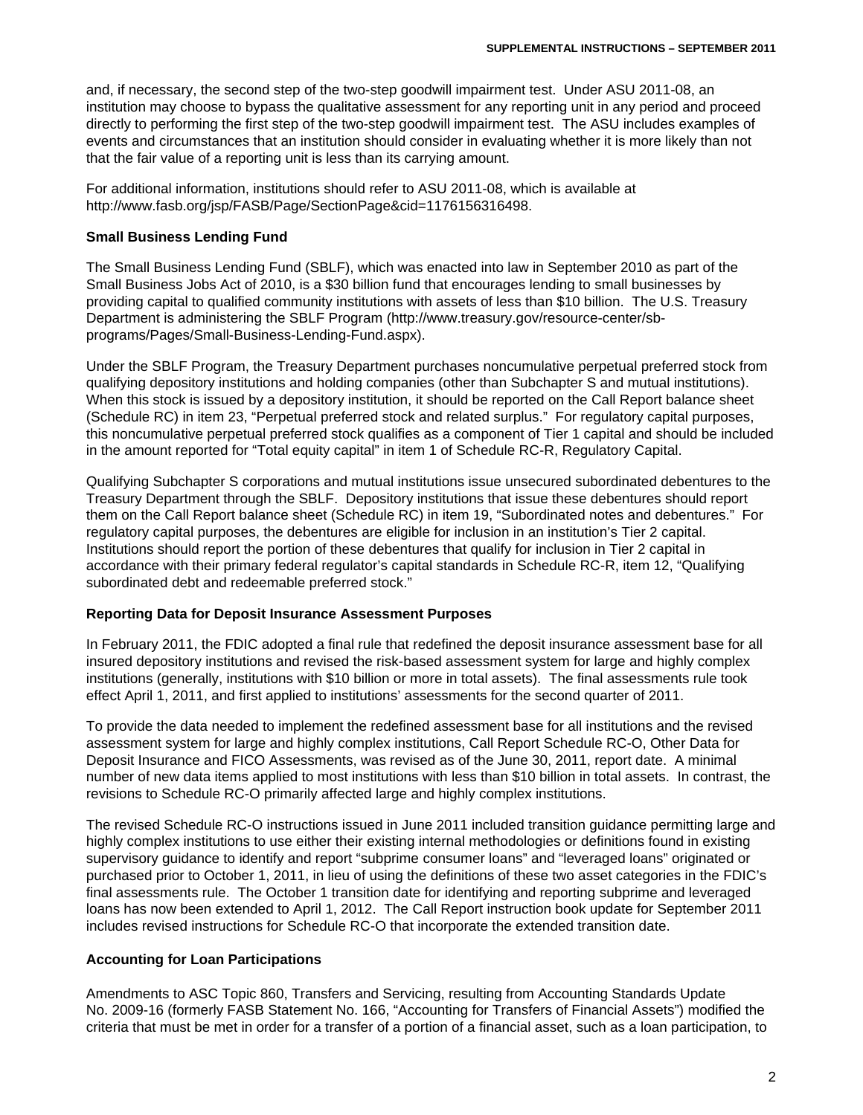and, if necessary, the second step of the two-step goodwill impairment test. Under ASU 2011-08, an institution may choose to bypass the qualitative assessment for any reporting unit in any period and proceed directly to performing the first step of the two-step goodwill impairment test. The ASU includes examples of events and circumstances that an institution should consider in evaluating whether it is more likely than not that the fair value of a reporting unit is less than its carrying amount.

For additional information, institutions should refer to ASU 2011-08, which is available at http://www.fasb.org/jsp/FASB/Page/SectionPage&cid=1176156316498.

#### **Small Business Lending Fund**

The Small Business Lending Fund (SBLF), which was enacted into law in September 2010 as part of the Small Business Jobs Act of 2010, is a \$30 billion fund that encourages lending to small businesses by providing capital to qualified community institutions with assets of less than \$10 billion. The U.S. Treasury Department is administering the SBLF Program (http://www.treasury.gov/resource-center/sbprograms/Pages/Small-Business-Lending-Fund.aspx).

Under the SBLF Program, the Treasury Department purchases noncumulative perpetual preferred stock from qualifying depository institutions and holding companies (other than Subchapter S and mutual institutions). When this stock is issued by a depository institution, it should be reported on the Call Report balance sheet (Schedule RC) in item 23, "Perpetual preferred stock and related surplus." For regulatory capital purposes, this noncumulative perpetual preferred stock qualifies as a component of Tier 1 capital and should be included in the amount reported for "Total equity capital" in item 1 of Schedule RC-R, Regulatory Capital.

Qualifying Subchapter S corporations and mutual institutions issue unsecured subordinated debentures to the Treasury Department through the SBLF. Depository institutions that issue these debentures should report them on the Call Report balance sheet (Schedule RC) in item 19, "Subordinated notes and debentures." For regulatory capital purposes, the debentures are eligible for inclusion in an institution's Tier 2 capital. Institutions should report the portion of these debentures that qualify for inclusion in Tier 2 capital in accordance with their primary federal regulator's capital standards in Schedule RC-R, item 12, "Qualifying subordinated debt and redeemable preferred stock."

#### **Reporting Data for Deposit Insurance Assessment Purposes**

In February 2011, the FDIC adopted a final rule that redefined the deposit insurance assessment base for all insured depository institutions and revised the risk-based assessment system for large and highly complex institutions (generally, institutions with \$10 billion or more in total assets). The final assessments rule took effect April 1, 2011, and first applied to institutions' assessments for the second quarter of 2011.

To provide the data needed to implement the redefined assessment base for all institutions and the revised assessment system for large and highly complex institutions, Call Report Schedule RC-O, Other Data for Deposit Insurance and FICO Assessments, was revised as of the June 30, 2011, report date. A minimal number of new data items applied to most institutions with less than \$10 billion in total assets. In contrast, the revisions to Schedule RC-O primarily affected large and highly complex institutions.

The revised Schedule RC-O instructions issued in June 2011 included transition guidance permitting large and highly complex institutions to use either their existing internal methodologies or definitions found in existing supervisory guidance to identify and report "subprime consumer loans" and "leveraged loans" originated or purchased prior to October 1, 2011, in lieu of using the definitions of these two asset categories in the FDIC's final assessments rule. The October 1 transition date for identifying and reporting subprime and leveraged loans has now been extended to April 1, 2012. The Call Report instruction book update for September 2011 includes revised instructions for Schedule RC-O that incorporate the extended transition date.

#### **Accounting for Loan Participations**

Amendments to ASC Topic 860, Transfers and Servicing, resulting from Accounting Standards Update No. 2009-16 (formerly FASB Statement No. 166, "Accounting for Transfers of Financial Assets") modified the criteria that must be met in order for a transfer of a portion of a financial asset, such as a loan participation, to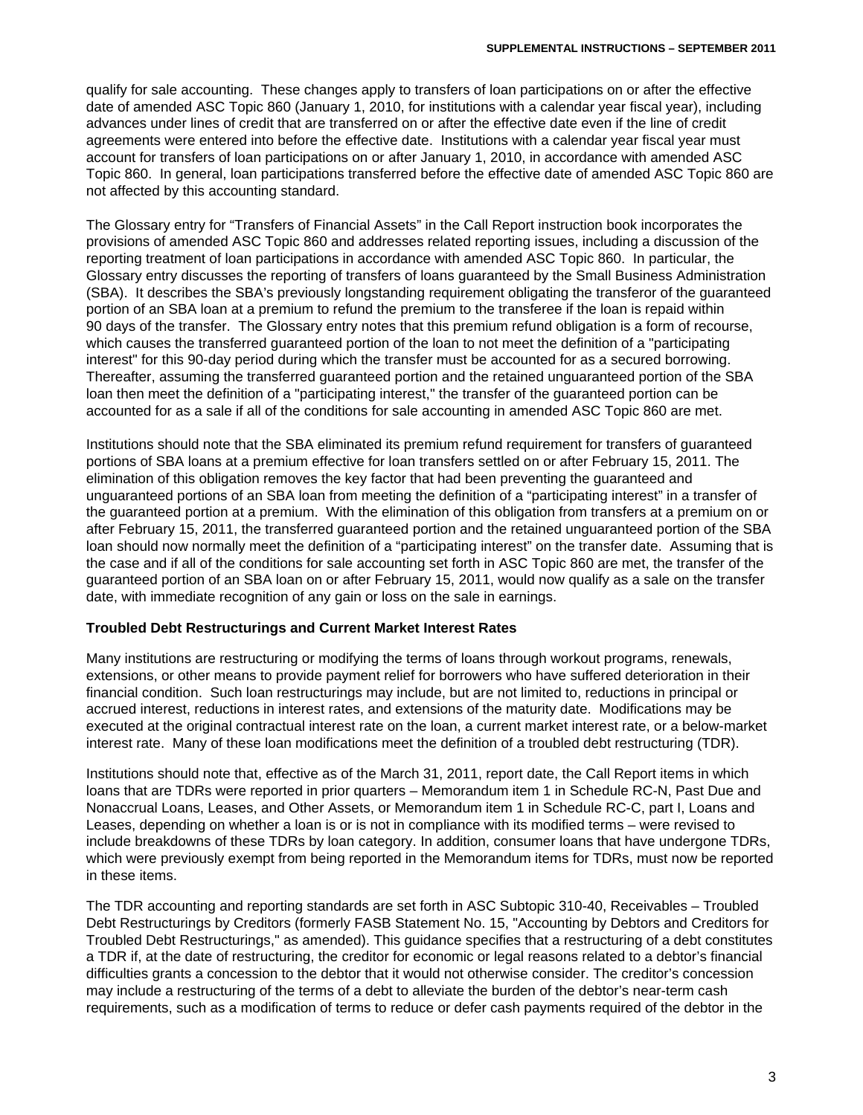qualify for sale accounting. These changes apply to transfers of loan participations on or after the effective date of amended ASC Topic 860 (January 1, 2010, for institutions with a calendar year fiscal year), including advances under lines of credit that are transferred on or after the effective date even if the line of credit agreements were entered into before the effective date. Institutions with a calendar year fiscal year must account for transfers of loan participations on or after January 1, 2010, in accordance with amended ASC Topic 860. In general, loan participations transferred before the effective date of amended ASC Topic 860 are not affected by this accounting standard.

The Glossary entry for "Transfers of Financial Assets" in the Call Report instruction book incorporates the provisions of amended ASC Topic 860 and addresses related reporting issues, including a discussion of the reporting treatment of loan participations in accordance with amended ASC Topic 860. In particular, the Glossary entry discusses the reporting of transfers of loans guaranteed by the Small Business Administration (SBA). It describes the SBA's previously longstanding requirement obligating the transferor of the guaranteed portion of an SBA loan at a premium to refund the premium to the transferee if the loan is repaid within 90 days of the transfer. The Glossary entry notes that this premium refund obligation is a form of recourse, which causes the transferred guaranteed portion of the loan to not meet the definition of a "participating" interest" for this 90-day period during which the transfer must be accounted for as a secured borrowing. Thereafter, assuming the transferred guaranteed portion and the retained unguaranteed portion of the SBA loan then meet the definition of a "participating interest," the transfer of the guaranteed portion can be accounted for as a sale if all of the conditions for sale accounting in amended ASC Topic 860 are met.

Institutions should note that the SBA eliminated its premium refund requirement for transfers of guaranteed portions of SBA loans at a premium effective for loan transfers settled on or after February 15, 2011. The elimination of this obligation removes the key factor that had been preventing the guaranteed and unguaranteed portions of an SBA loan from meeting the definition of a "participating interest" in a transfer of the guaranteed portion at a premium. With the elimination of this obligation from transfers at a premium on or after February 15, 2011, the transferred guaranteed portion and the retained unguaranteed portion of the SBA loan should now normally meet the definition of a "participating interest" on the transfer date. Assuming that is the case and if all of the conditions for sale accounting set forth in ASC Topic 860 are met, the transfer of the guaranteed portion of an SBA loan on or after February 15, 2011, would now qualify as a sale on the transfer date, with immediate recognition of any gain or loss on the sale in earnings.

#### **Troubled Debt Restructurings and Current Market Interest Rates**

Many institutions are restructuring or modifying the terms of loans through workout programs, renewals, extensions, or other means to provide payment relief for borrowers who have suffered deterioration in their financial condition. Such loan restructurings may include, but are not limited to, reductions in principal or accrued interest, reductions in interest rates, and extensions of the maturity date. Modifications may be executed at the original contractual interest rate on the loan, a current market interest rate, or a below-market interest rate. Many of these loan modifications meet the definition of a troubled debt restructuring (TDR).

Institutions should note that, effective as of the March 31, 2011, report date, the Call Report items in which loans that are TDRs were reported in prior quarters – Memorandum item 1 in Schedule RC-N, Past Due and Nonaccrual Loans, Leases, and Other Assets, or Memorandum item 1 in Schedule RC-C, part I, Loans and Leases, depending on whether a loan is or is not in compliance with its modified terms – were revised to include breakdowns of these TDRs by loan category. In addition, consumer loans that have undergone TDRs, which were previously exempt from being reported in the Memorandum items for TDRs, must now be reported in these items.

The TDR accounting and reporting standards are set forth in ASC Subtopic 310-40, Receivables – Troubled Debt Restructurings by Creditors (formerly FASB Statement No. 15, "Accounting by Debtors and Creditors for Troubled Debt Restructurings," as amended). This guidance specifies that a restructuring of a debt constitutes a TDR if, at the date of restructuring, the creditor for economic or legal reasons related to a debtor's financial difficulties grants a concession to the debtor that it would not otherwise consider. The creditor's concession may include a restructuring of the terms of a debt to alleviate the burden of the debtor's near-term cash requirements, such as a modification of terms to reduce or defer cash payments required of the debtor in the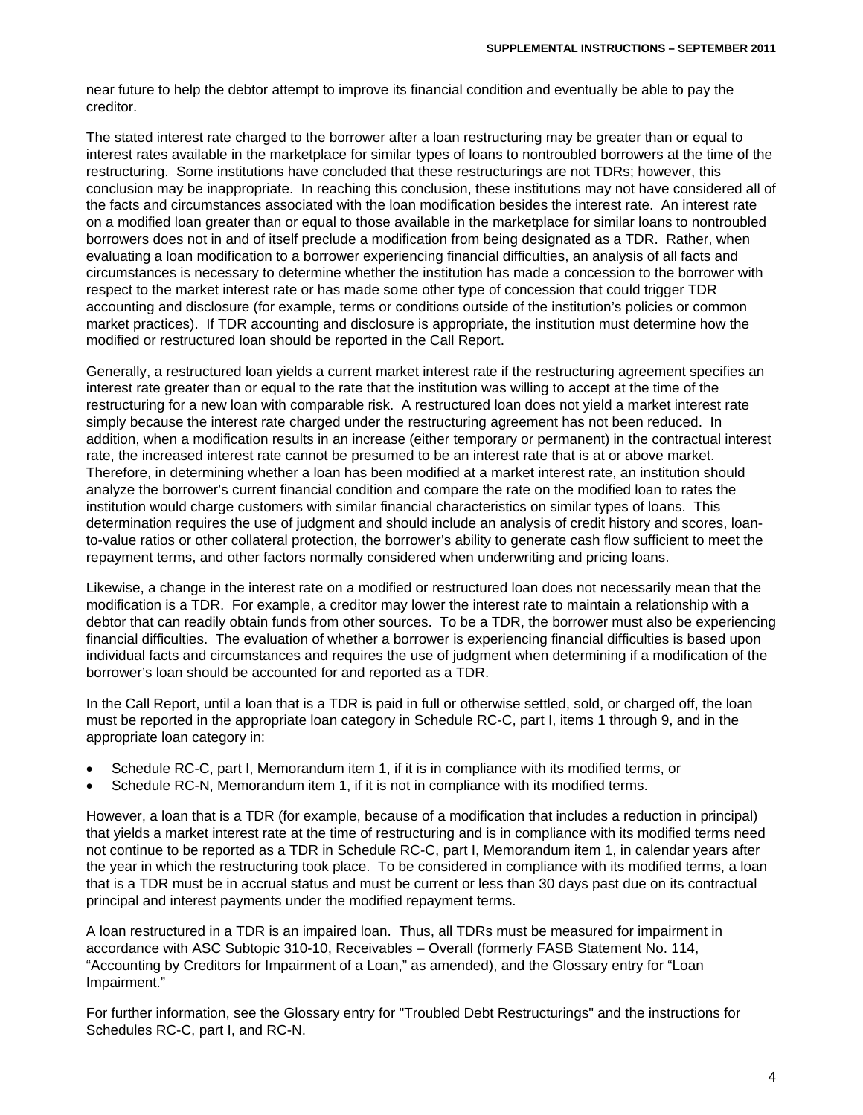near future to help the debtor attempt to improve its financial condition and eventually be able to pay the creditor.

The stated interest rate charged to the borrower after a loan restructuring may be greater than or equal to interest rates available in the marketplace for similar types of loans to nontroubled borrowers at the time of the restructuring. Some institutions have concluded that these restructurings are not TDRs; however, this conclusion may be inappropriate. In reaching this conclusion, these institutions may not have considered all of the facts and circumstances associated with the loan modification besides the interest rate. An interest rate on a modified loan greater than or equal to those available in the marketplace for similar loans to nontroubled borrowers does not in and of itself preclude a modification from being designated as a TDR. Rather, when evaluating a loan modification to a borrower experiencing financial difficulties, an analysis of all facts and circumstances is necessary to determine whether the institution has made a concession to the borrower with respect to the market interest rate or has made some other type of concession that could trigger TDR accounting and disclosure (for example, terms or conditions outside of the institution's policies or common market practices). If TDR accounting and disclosure is appropriate, the institution must determine how the modified or restructured loan should be reported in the Call Report.

Generally, a restructured loan yields a current market interest rate if the restructuring agreement specifies an interest rate greater than or equal to the rate that the institution was willing to accept at the time of the restructuring for a new loan with comparable risk. A restructured loan does not yield a market interest rate simply because the interest rate charged under the restructuring agreement has not been reduced. In addition, when a modification results in an increase (either temporary or permanent) in the contractual interest rate, the increased interest rate cannot be presumed to be an interest rate that is at or above market. Therefore, in determining whether a loan has been modified at a market interest rate, an institution should analyze the borrower's current financial condition and compare the rate on the modified loan to rates the institution would charge customers with similar financial characteristics on similar types of loans. This determination requires the use of judgment and should include an analysis of credit history and scores, loanto-value ratios or other collateral protection, the borrower's ability to generate cash flow sufficient to meet the repayment terms, and other factors normally considered when underwriting and pricing loans.

Likewise, a change in the interest rate on a modified or restructured loan does not necessarily mean that the modification is a TDR. For example, a creditor may lower the interest rate to maintain a relationship with a debtor that can readily obtain funds from other sources. To be a TDR, the borrower must also be experiencing financial difficulties. The evaluation of whether a borrower is experiencing financial difficulties is based upon individual facts and circumstances and requires the use of judgment when determining if a modification of the borrower's loan should be accounted for and reported as a TDR.

In the Call Report, until a loan that is a TDR is paid in full or otherwise settled, sold, or charged off, the loan must be reported in the appropriate loan category in Schedule RC-C, part I, items 1 through 9, and in the appropriate loan category in:

- Schedule RC-C, part I, Memorandum item 1, if it is in compliance with its modified terms, or
- Schedule RC-N, Memorandum item 1, if it is not in compliance with its modified terms.

However, a loan that is a TDR (for example, because of a modification that includes a reduction in principal) that yields a market interest rate at the time of restructuring and is in compliance with its modified terms need not continue to be reported as a TDR in Schedule RC-C, part I, Memorandum item 1, in calendar years after the year in which the restructuring took place. To be considered in compliance with its modified terms, a loan that is a TDR must be in accrual status and must be current or less than 30 days past due on its contractual principal and interest payments under the modified repayment terms.

A loan restructured in a TDR is an impaired loan. Thus, all TDRs must be measured for impairment in accordance with ASC Subtopic 310-10, Receivables – Overall (formerly FASB Statement No. 114, "Accounting by Creditors for Impairment of a Loan," as amended), and the Glossary entry for "Loan Impairment."

For further information, see the Glossary entry for "Troubled Debt Restructurings" and the instructions for Schedules RC-C, part I, and RC-N.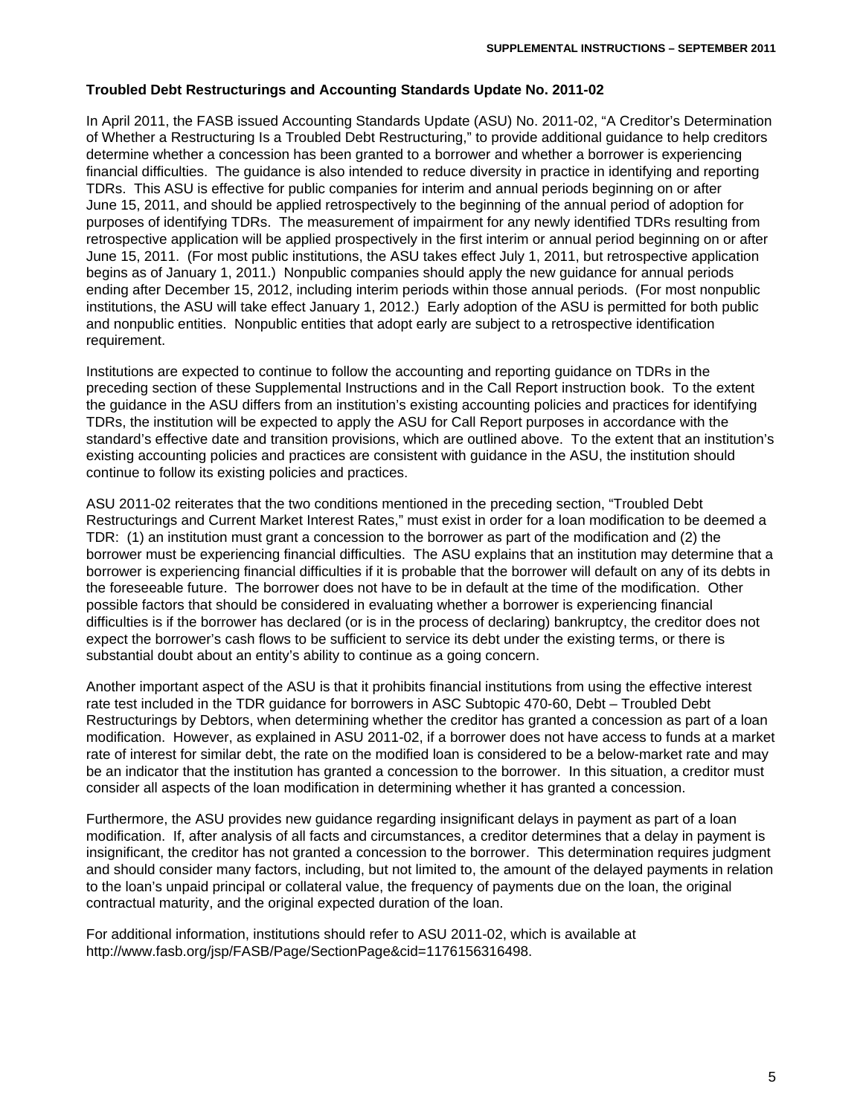### **Troubled Debt Restructurings and Accounting Standards Update No. 2011-02**

In April 2011, the FASB issued Accounting Standards Update (ASU) No. 2011-02, "A Creditor's Determination of Whether a Restructuring Is a Troubled Debt Restructuring," to provide additional guidance to help creditors determine whether a concession has been granted to a borrower and whether a borrower is experiencing financial difficulties. The guidance is also intended to reduce diversity in practice in identifying and reporting TDRs. This ASU is effective for public companies for interim and annual periods beginning on or after June 15, 2011, and should be applied retrospectively to the beginning of the annual period of adoption for purposes of identifying TDRs. The measurement of impairment for any newly identified TDRs resulting from retrospective application will be applied prospectively in the first interim or annual period beginning on or after June 15, 2011. (For most public institutions, the ASU takes effect July 1, 2011, but retrospective application begins as of January 1, 2011.) Nonpublic companies should apply the new guidance for annual periods ending after December 15, 2012, including interim periods within those annual periods. (For most nonpublic institutions, the ASU will take effect January 1, 2012.) Early adoption of the ASU is permitted for both public and nonpublic entities. Nonpublic entities that adopt early are subject to a retrospective identification requirement.

Institutions are expected to continue to follow the accounting and reporting guidance on TDRs in the preceding section of these Supplemental Instructions and in the Call Report instruction book. To the extent the guidance in the ASU differs from an institution's existing accounting policies and practices for identifying TDRs, the institution will be expected to apply the ASU for Call Report purposes in accordance with the standard's effective date and transition provisions, which are outlined above. To the extent that an institution's existing accounting policies and practices are consistent with guidance in the ASU, the institution should continue to follow its existing policies and practices.

ASU 2011-02 reiterates that the two conditions mentioned in the preceding section, "Troubled Debt Restructurings and Current Market Interest Rates," must exist in order for a loan modification to be deemed a TDR: (1) an institution must grant a concession to the borrower as part of the modification and (2) the borrower must be experiencing financial difficulties. The ASU explains that an institution may determine that a borrower is experiencing financial difficulties if it is probable that the borrower will default on any of its debts in the foreseeable future. The borrower does not have to be in default at the time of the modification. Other possible factors that should be considered in evaluating whether a borrower is experiencing financial difficulties is if the borrower has declared (or is in the process of declaring) bankruptcy, the creditor does not expect the borrower's cash flows to be sufficient to service its debt under the existing terms, or there is substantial doubt about an entity's ability to continue as a going concern.

Another important aspect of the ASU is that it prohibits financial institutions from using the effective interest rate test included in the TDR guidance for borrowers in ASC Subtopic 470-60, Debt – Troubled Debt Restructurings by Debtors, when determining whether the creditor has granted a concession as part of a loan modification. However, as explained in ASU 2011-02, if a borrower does not have access to funds at a market rate of interest for similar debt, the rate on the modified loan is considered to be a below-market rate and may be an indicator that the institution has granted a concession to the borrower. In this situation, a creditor must consider all aspects of the loan modification in determining whether it has granted a concession.

Furthermore, the ASU provides new guidance regarding insignificant delays in payment as part of a loan modification. If, after analysis of all facts and circumstances, a creditor determines that a delay in payment is insignificant, the creditor has not granted a concession to the borrower. This determination requires judgment and should consider many factors, including, but not limited to, the amount of the delayed payments in relation to the loan's unpaid principal or collateral value, the frequency of payments due on the loan, the original contractual maturity, and the original expected duration of the loan.

For additional information, institutions should refer to ASU 2011-02, which is available at http://www.fasb.org/jsp/FASB/Page/SectionPage&cid=1176156316498.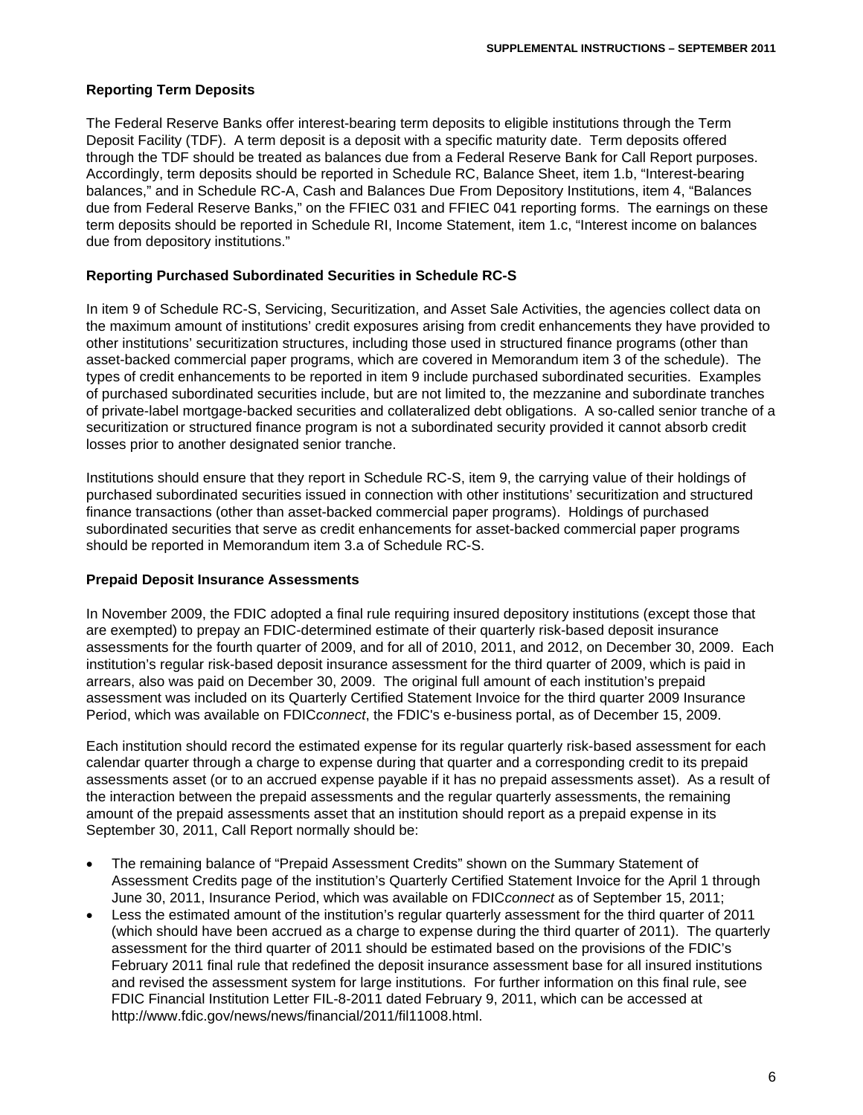# **Reporting Term Deposits**

The Federal Reserve Banks offer interest-bearing term deposits to eligible institutions through the Term Deposit Facility (TDF). A term deposit is a deposit with a specific maturity date. Term deposits offered through the TDF should be treated as balances due from a Federal Reserve Bank for Call Report purposes. Accordingly, term deposits should be reported in Schedule RC, Balance Sheet, item 1.b, "Interest-bearing balances," and in Schedule RC-A, Cash and Balances Due From Depository Institutions, item 4, "Balances due from Federal Reserve Banks," on the FFIEC 031 and FFIEC 041 reporting forms. The earnings on these term deposits should be reported in Schedule RI, Income Statement, item 1.c, "Interest income on balances due from depository institutions."

### **Reporting Purchased Subordinated Securities in Schedule RC-S**

In item 9 of Schedule RC-S, Servicing, Securitization, and Asset Sale Activities, the agencies collect data on the maximum amount of institutions' credit exposures arising from credit enhancements they have provided to other institutions' securitization structures, including those used in structured finance programs (other than asset-backed commercial paper programs, which are covered in Memorandum item 3 of the schedule). The types of credit enhancements to be reported in item 9 include purchased subordinated securities. Examples of purchased subordinated securities include, but are not limited to, the mezzanine and subordinate tranches of private-label mortgage-backed securities and collateralized debt obligations. A so-called senior tranche of a securitization or structured finance program is not a subordinated security provided it cannot absorb credit losses prior to another designated senior tranche.

Institutions should ensure that they report in Schedule RC-S, item 9, the carrying value of their holdings of purchased subordinated securities issued in connection with other institutions' securitization and structured finance transactions (other than asset-backed commercial paper programs). Holdings of purchased subordinated securities that serve as credit enhancements for asset-backed commercial paper programs should be reported in Memorandum item 3.a of Schedule RC-S.

#### **Prepaid Deposit Insurance Assessments**

In November 2009, the FDIC adopted a final rule requiring insured depository institutions (except those that are exempted) to prepay an FDIC-determined estimate of their quarterly risk-based deposit insurance assessments for the fourth quarter of 2009, and for all of 2010, 2011, and 2012, on December 30, 2009. Each institution's regular risk-based deposit insurance assessment for the third quarter of 2009, which is paid in arrears, also was paid on December 30, 2009. The original full amount of each institution's prepaid assessment was included on its Quarterly Certified Statement Invoice for the third quarter 2009 Insurance Period, which was available on FDIC*connect*, the FDIC's e-business portal, as of December 15, 2009.

Each institution should record the estimated expense for its regular quarterly risk-based assessment for each calendar quarter through a charge to expense during that quarter and a corresponding credit to its prepaid assessments asset (or to an accrued expense payable if it has no prepaid assessments asset). As a result of the interaction between the prepaid assessments and the regular quarterly assessments, the remaining amount of the prepaid assessments asset that an institution should report as a prepaid expense in its September 30, 2011, Call Report normally should be:

- The remaining balance of "Prepaid Assessment Credits" shown on the Summary Statement of Assessment Credits page of the institution's Quarterly Certified Statement Invoice for the April 1 through June 30, 2011, Insurance Period, which was available on FDIC*connect* as of September 15, 2011;
- Less the estimated amount of the institution's regular quarterly assessment for the third quarter of 2011 (which should have been accrued as a charge to expense during the third quarter of 2011). The quarterly assessment for the third quarter of 2011 should be estimated based on the provisions of the FDIC's February 2011 final rule that redefined the deposit insurance assessment base for all insured institutions and revised the assessment system for large institutions. For further information on this final rule, see FDIC Financial Institution Letter FIL-8-2011 dated February 9, 2011, which can be accessed at http://www.fdic.gov/news/news/financial/2011/fil11008.html.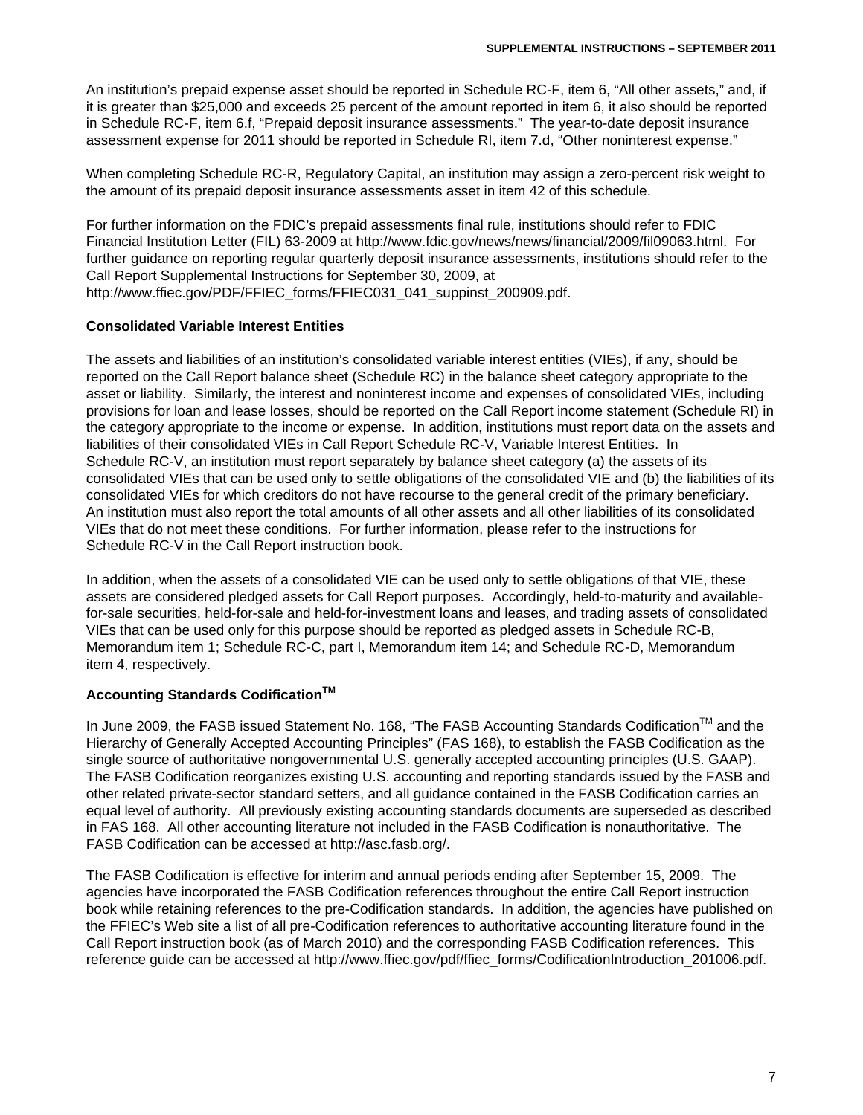An institution's prepaid expense asset should be reported in Schedule RC-F, item 6, "All other assets," and, if it is greater than \$25,000 and exceeds 25 percent of the amount reported in item 6, it also should be reported in Schedule RC-F, item 6.f, "Prepaid deposit insurance assessments." The year-to-date deposit insurance assessment expense for 2011 should be reported in Schedule RI, item 7.d, "Other noninterest expense."

When completing Schedule RC-R, Regulatory Capital, an institution may assign a zero-percent risk weight to the amount of its prepaid deposit insurance assessments asset in item 42 of this schedule.

For further information on the FDIC's prepaid assessments final rule, institutions should refer to FDIC Financial Institution Letter (FIL) 63-2009 at http://www.fdic.gov/news/news/financial/2009/fil09063.html. For further guidance on reporting regular quarterly deposit insurance assessments, institutions should refer to the Call Report Supplemental Instructions for September 30, 2009, at http://www.ffiec.gov/PDF/FFIEC\_forms/FFIEC031\_041\_suppinst\_200909.pdf.

**Consolidated Variable Interest Entities** 

# The assets and liabilities of an institution's consolidated variable interest entities (VIEs), if any, should be reported on the Call Report balance sheet (Schedule RC) in the balance sheet category appropriate to the asset or liability. Similarly, the interest and noninterest income and expenses of consolidated VIEs, including provisions for loan and lease losses, should be reported on the Call Report income statement (Schedule RI) in the category appropriate to the income or expense. In addition, institutions must report data on the assets and liabilities of their consolidated VIEs in Call Report Schedule RC-V, Variable Interest Entities. In Schedule RC-V, an institution must report separately by balance sheet category (a) the assets of its consolidated VIEs that can be used only to settle obligations of the consolidated VIE and (b) the liabilities of its consolidated VIEs for which creditors do not have recourse to the general credit of the primary beneficiary. An institution must also report the total amounts of all other assets and all other liabilities of its consolidated VIEs that do not meet these conditions. For further information, please refer to the instructions for Schedule RC-V in the Call Report instruction book.

In addition, when the assets of a consolidated VIE can be used only to settle obligations of that VIE, these assets are considered pledged assets for Call Report purposes. Accordingly, held-to-maturity and availablefor-sale securities, held-for-sale and held-for-investment loans and leases, and trading assets of consolidated VIEs that can be used only for this purpose should be reported as pledged assets in Schedule RC-B, Memorandum item 1; Schedule RC-C, part I, Memorandum item 14; and Schedule RC-D, Memorandum item 4, respectively.

# **Accounting Standards Codification<sup>™</sup>**

In June 2009, the FASB issued Statement No. 168, "The FASB Accounting Standards Codification™ and the Hierarchy of Generally Accepted Accounting Principles" (FAS 168), to establish the FASB Codification as the single source of authoritative nongovernmental U.S. generally accepted accounting principles (U.S. GAAP). The FASB Codification reorganizes existing U.S. accounting and reporting standards issued by the FASB and other related private-sector standard setters, and all guidance contained in the FASB Codification carries an equal level of authority. All previously existing accounting standards documents are superseded as described in FAS 168. All other accounting literature not included in the FASB Codification is nonauthoritative. The FASB Codification can be accessed at http://asc.fasb.org/.

The FASB Codification is effective for interim and annual periods ending after September 15, 2009. The agencies have incorporated the FASB Codification references throughout the entire Call Report instruction book while retaining references to the pre-Codification standards. In addition, the agencies have published on the FFIEC's Web site a list of all pre-Codification references to authoritative accounting literature found in the Call Report instruction book (as of March 2010) and the corresponding FASB Codification references. This reference guide can be accessed at http://www.ffiec.gov/pdf/ffiec\_forms/CodificationIntroduction\_201006.pdf.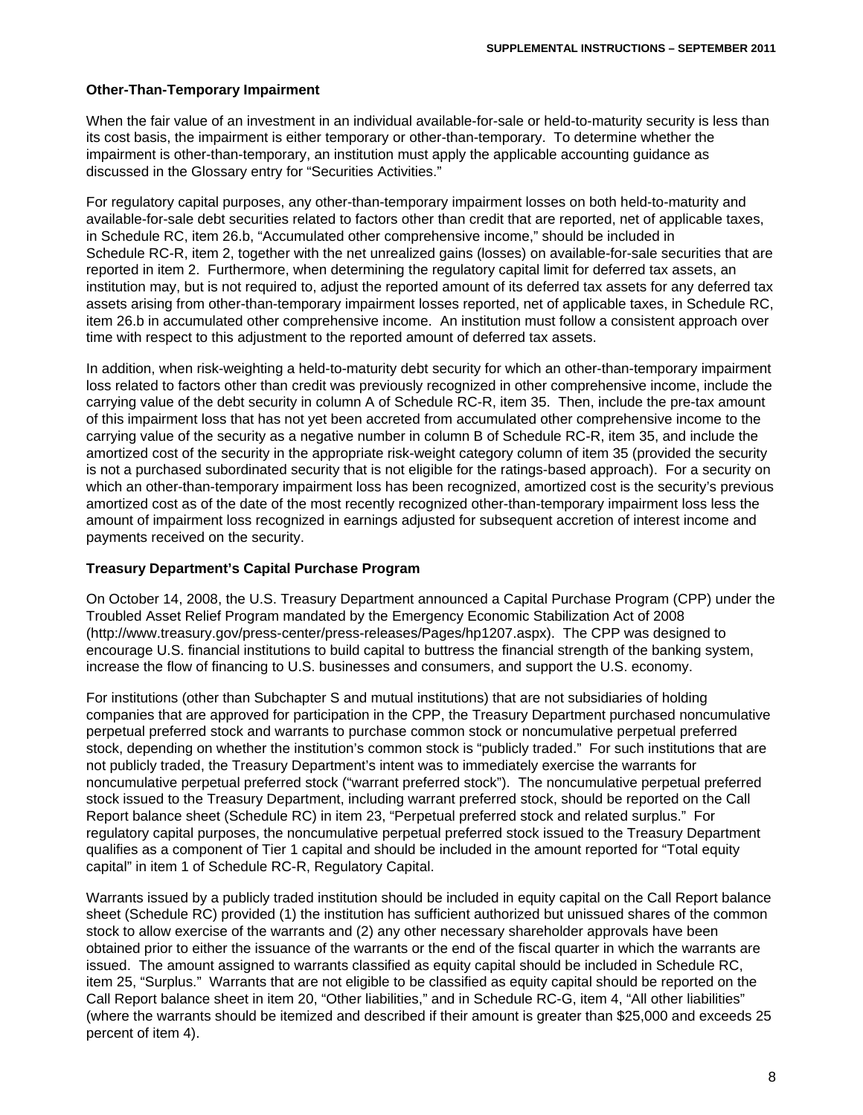### **Other-Than-Temporary Impairment**

When the fair value of an investment in an individual available-for-sale or held-to-maturity security is less than its cost basis, the impairment is either temporary or other-than-temporary. To determine whether the impairment is other-than-temporary, an institution must apply the applicable accounting guidance as discussed in the Glossary entry for "Securities Activities."

For regulatory capital purposes, any other-than-temporary impairment losses on both held-to-maturity and available-for-sale debt securities related to factors other than credit that are reported, net of applicable taxes, in Schedule RC, item 26.b, "Accumulated other comprehensive income," should be included in Schedule RC-R, item 2, together with the net unrealized gains (losses) on available-for-sale securities that are reported in item 2. Furthermore, when determining the regulatory capital limit for deferred tax assets, an institution may, but is not required to, adjust the reported amount of its deferred tax assets for any deferred tax assets arising from other-than-temporary impairment losses reported, net of applicable taxes, in Schedule RC, item 26.b in accumulated other comprehensive income. An institution must follow a consistent approach over time with respect to this adjustment to the reported amount of deferred tax assets.

In addition, when risk-weighting a held-to-maturity debt security for which an other-than-temporary impairment loss related to factors other than credit was previously recognized in other comprehensive income, include the carrying value of the debt security in column A of Schedule RC-R, item 35. Then, include the pre-tax amount of this impairment loss that has not yet been accreted from accumulated other comprehensive income to the carrying value of the security as a negative number in column B of Schedule RC-R, item 35, and include the amortized cost of the security in the appropriate risk-weight category column of item 35 (provided the security is not a purchased subordinated security that is not eligible for the ratings-based approach). For a security on which an other-than-temporary impairment loss has been recognized, amortized cost is the security's previous amortized cost as of the date of the most recently recognized other-than-temporary impairment loss less the amount of impairment loss recognized in earnings adjusted for subsequent accretion of interest income and payments received on the security.

#### **Treasury Department's Capital Purchase Program**

On October 14, 2008, the U.S. Treasury Department announced a Capital Purchase Program (CPP) under the Troubled Asset Relief Program mandated by the Emergency Economic Stabilization Act of 2008 (http://www.treasury.gov/press-center/press-releases/Pages/hp1207.aspx). The CPP was designed to encourage U.S. financial institutions to build capital to buttress the financial strength of the banking system, increase the flow of financing to U.S. businesses and consumers, and support the U.S. economy.

For institutions (other than Subchapter S and mutual institutions) that are not subsidiaries of holding companies that are approved for participation in the CPP, the Treasury Department purchased noncumulative perpetual preferred stock and warrants to purchase common stock or noncumulative perpetual preferred stock, depending on whether the institution's common stock is "publicly traded." For such institutions that are not publicly traded, the Treasury Department's intent was to immediately exercise the warrants for noncumulative perpetual preferred stock ("warrant preferred stock"). The noncumulative perpetual preferred stock issued to the Treasury Department, including warrant preferred stock, should be reported on the Call Report balance sheet (Schedule RC) in item 23, "Perpetual preferred stock and related surplus." For regulatory capital purposes, the noncumulative perpetual preferred stock issued to the Treasury Department qualifies as a component of Tier 1 capital and should be included in the amount reported for "Total equity capital" in item 1 of Schedule RC-R, Regulatory Capital.

Warrants issued by a publicly traded institution should be included in equity capital on the Call Report balance sheet (Schedule RC) provided (1) the institution has sufficient authorized but unissued shares of the common stock to allow exercise of the warrants and (2) any other necessary shareholder approvals have been obtained prior to either the issuance of the warrants or the end of the fiscal quarter in which the warrants are issued. The amount assigned to warrants classified as equity capital should be included in Schedule RC, item 25, "Surplus." Warrants that are not eligible to be classified as equity capital should be reported on the Call Report balance sheet in item 20, "Other liabilities," and in Schedule RC-G, item 4, "All other liabilities" (where the warrants should be itemized and described if their amount is greater than \$25,000 and exceeds 25 percent of item 4).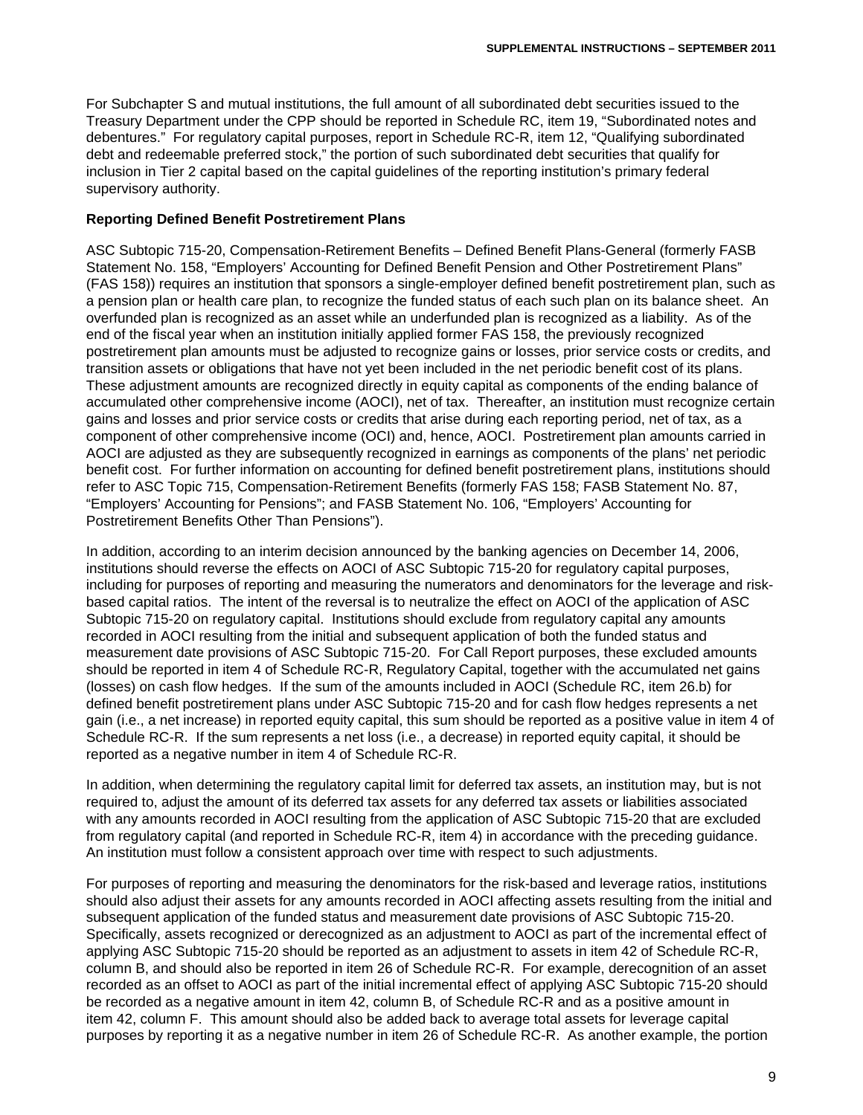For Subchapter S and mutual institutions, the full amount of all subordinated debt securities issued to the Treasury Department under the CPP should be reported in Schedule RC, item 19, "Subordinated notes and debentures." For regulatory capital purposes, report in Schedule RC-R, item 12, "Qualifying subordinated debt and redeemable preferred stock," the portion of such subordinated debt securities that qualify for inclusion in Tier 2 capital based on the capital guidelines of the reporting institution's primary federal supervisory authority.

#### **Reporting Defined Benefit Postretirement Plans**

ASC Subtopic 715-20, Compensation-Retirement Benefits – Defined Benefit Plans-General (formerly FASB Statement No. 158, "Employers' Accounting for Defined Benefit Pension and Other Postretirement Plans" (FAS 158)) requires an institution that sponsors a single-employer defined benefit postretirement plan, such as a pension plan or health care plan, to recognize the funded status of each such plan on its balance sheet. An overfunded plan is recognized as an asset while an underfunded plan is recognized as a liability. As of the end of the fiscal year when an institution initially applied former FAS 158, the previously recognized postretirement plan amounts must be adjusted to recognize gains or losses, prior service costs or credits, and transition assets or obligations that have not yet been included in the net periodic benefit cost of its plans. These adjustment amounts are recognized directly in equity capital as components of the ending balance of accumulated other comprehensive income (AOCI), net of tax. Thereafter, an institution must recognize certain gains and losses and prior service costs or credits that arise during each reporting period, net of tax, as a component of other comprehensive income (OCI) and, hence, AOCI. Postretirement plan amounts carried in AOCI are adjusted as they are subsequently recognized in earnings as components of the plans' net periodic benefit cost. For further information on accounting for defined benefit postretirement plans, institutions should refer to ASC Topic 715, Compensation-Retirement Benefits (formerly FAS 158; FASB Statement No. 87, "Employers' Accounting for Pensions"; and FASB Statement No. 106, "Employers' Accounting for Postretirement Benefits Other Than Pensions").

In addition, according to an interim decision announced by the banking agencies on December 14, 2006, institutions should reverse the effects on AOCI of ASC Subtopic 715-20 for regulatory capital purposes, including for purposes of reporting and measuring the numerators and denominators for the leverage and riskbased capital ratios. The intent of the reversal is to neutralize the effect on AOCI of the application of ASC Subtopic 715-20 on regulatory capital. Institutions should exclude from regulatory capital any amounts recorded in AOCI resulting from the initial and subsequent application of both the funded status and measurement date provisions of ASC Subtopic 715-20. For Call Report purposes, these excluded amounts should be reported in item 4 of Schedule RC-R, Regulatory Capital, together with the accumulated net gains (losses) on cash flow hedges. If the sum of the amounts included in AOCI (Schedule RC, item 26.b) for defined benefit postretirement plans under ASC Subtopic 715-20 and for cash flow hedges represents a net gain (i.e., a net increase) in reported equity capital, this sum should be reported as a positive value in item 4 of Schedule RC-R. If the sum represents a net loss (i.e., a decrease) in reported equity capital, it should be reported as a negative number in item 4 of Schedule RC-R.

In addition, when determining the regulatory capital limit for deferred tax assets, an institution may, but is not required to, adjust the amount of its deferred tax assets for any deferred tax assets or liabilities associated with any amounts recorded in AOCI resulting from the application of ASC Subtopic 715-20 that are excluded from regulatory capital (and reported in Schedule RC-R, item 4) in accordance with the preceding guidance. An institution must follow a consistent approach over time with respect to such adjustments.

For purposes of reporting and measuring the denominators for the risk-based and leverage ratios, institutions should also adjust their assets for any amounts recorded in AOCI affecting assets resulting from the initial and subsequent application of the funded status and measurement date provisions of ASC Subtopic 715-20. Specifically, assets recognized or derecognized as an adjustment to AOCI as part of the incremental effect of applying ASC Subtopic 715-20 should be reported as an adjustment to assets in item 42 of Schedule RC-R, column B, and should also be reported in item 26 of Schedule RC-R. For example, derecognition of an asset recorded as an offset to AOCI as part of the initial incremental effect of applying ASC Subtopic 715-20 should be recorded as a negative amount in item 42, column B, of Schedule RC-R and as a positive amount in item 42, column F. This amount should also be added back to average total assets for leverage capital purposes by reporting it as a negative number in item 26 of Schedule RC-R. As another example, the portion